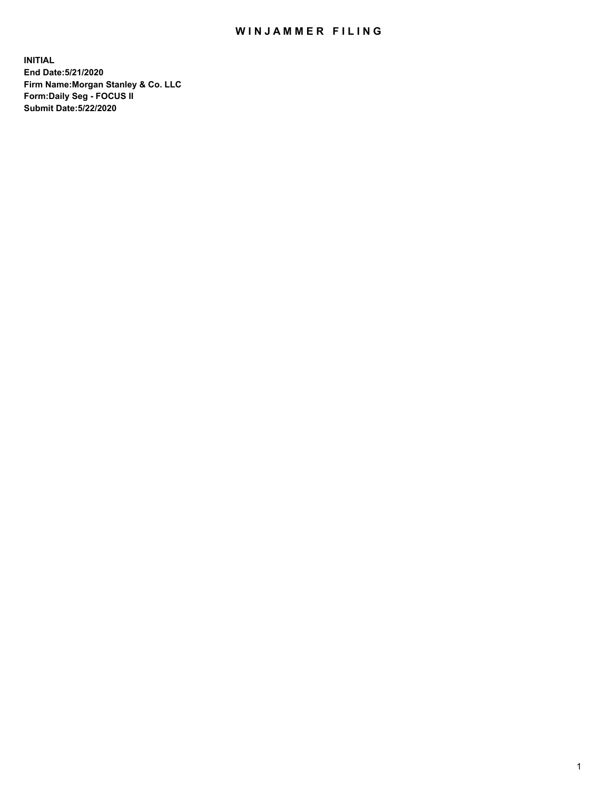## WIN JAMMER FILING

**INITIAL End Date:5/21/2020 Firm Name:Morgan Stanley & Co. LLC Form:Daily Seg - FOCUS II Submit Date:5/22/2020**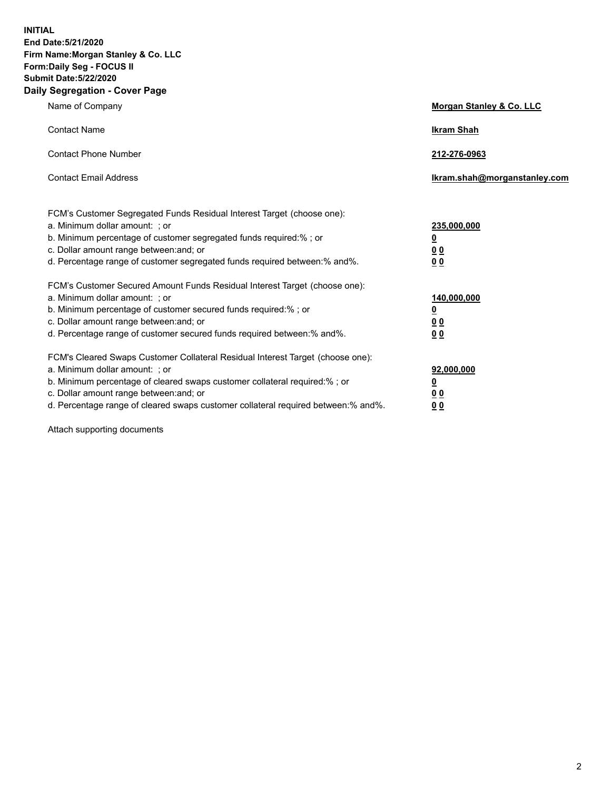**INITIAL End Date:5/21/2020 Firm Name:Morgan Stanley & Co. LLC Form:Daily Seg - FOCUS II Submit Date:5/22/2020 Daily Segregation - Cover Page**

| Name of Company                                                                                                                                                                                                                                                                                                                | Morgan Stanley & Co. LLC                                |
|--------------------------------------------------------------------------------------------------------------------------------------------------------------------------------------------------------------------------------------------------------------------------------------------------------------------------------|---------------------------------------------------------|
| <b>Contact Name</b>                                                                                                                                                                                                                                                                                                            | <b>Ikram Shah</b>                                       |
| <b>Contact Phone Number</b>                                                                                                                                                                                                                                                                                                    | 212-276-0963                                            |
| <b>Contact Email Address</b>                                                                                                                                                                                                                                                                                                   | Ikram.shah@morganstanley.com                            |
| FCM's Customer Segregated Funds Residual Interest Target (choose one):<br>a. Minimum dollar amount: ; or<br>b. Minimum percentage of customer segregated funds required:% ; or<br>c. Dollar amount range between: and; or<br>d. Percentage range of customer segregated funds required between:% and%.                         | 235,000,000<br><u>0</u><br><u>00</u><br><u>00</u>       |
| FCM's Customer Secured Amount Funds Residual Interest Target (choose one):<br>a. Minimum dollar amount: ; or<br>b. Minimum percentage of customer secured funds required:%; or<br>c. Dollar amount range between: and; or<br>d. Percentage range of customer secured funds required between:% and%.                            | 140,000,000<br><u>0</u><br><u>0 0</u><br>0 <sub>0</sub> |
| FCM's Cleared Swaps Customer Collateral Residual Interest Target (choose one):<br>a. Minimum dollar amount: ; or<br>b. Minimum percentage of cleared swaps customer collateral required:% ; or<br>c. Dollar amount range between: and; or<br>d. Percentage range of cleared swaps customer collateral required between:% and%. | 92,000,000<br><u>0</u><br><u>00</u><br>00               |

Attach supporting documents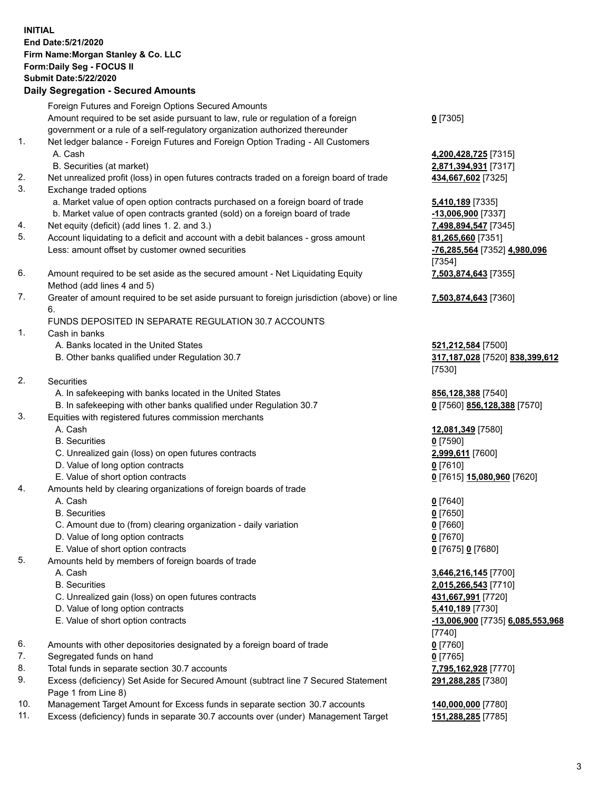## **INITIAL End Date:5/21/2020 Firm Name:Morgan Stanley & Co. LLC Form:Daily Seg - FOCUS II Submit Date:5/22/2020 Daily Segregation - Secured Amounts** Foreign Futures and Foreign Options Secured Amounts Amount required to be set aside pursuant to law, rule or regulation of a foreign government or a rule of a self-regulatory organization authorized thereunder 1. Net ledger balance - Foreign Futures and Foreign Option Trading - All Customers A. Cash **4,200,428,725** [7315] B. Securities (at market) **2,871,394,931** [7317] 2. Net unrealized profit (loss) in open futures contracts traded on a foreign board of trade **434,667,602** [7325] 3. Exchange traded options a. Market value of open option contracts purchased on a foreign board of trade **5,410,189** [7335] b. Market value of open contracts granted (sold) on a foreign board of trade **-13,006,900** [7337] 4. Net equity (deficit) (add lines 1. 2. and 3.) **7,498,894,547** [7345] 5. Account liquidating to a deficit and account with a debit balances - gross amount **81,265,660** [7351] Less: amount offset by customer owned securities **-76,285,564** [7352] **4,980,096** 6. Amount required to be set aside as the secured amount - Net Liquidating Equity Method (add lines 4 and 5) 7. Greater of amount required to be set aside pursuant to foreign jurisdiction (above) or line 6. FUNDS DEPOSITED IN SEPARATE REGULATION 30.7 ACCOUNTS 1. Cash in banks A. Banks located in the United States **521,212,584** [7500] B. Other banks qualified under Regulation 30.7 **317,187,028** [7520] **838,399,612**

- 2. Securities
	- A. In safekeeping with banks located in the United States **856,128,388** [7540]
	- B. In safekeeping with other banks qualified under Regulation 30.7 **0** [7560] **856,128,388** [7570]
- 3. Equities with registered futures commission merchants
	-
	- B. Securities **0** [7590]
	- C. Unrealized gain (loss) on open futures contracts **2,999,611** [7600]
	- D. Value of long option contracts **0** [7610]
- E. Value of short option contracts **0** [7615] **15,080,960** [7620]
- 4. Amounts held by clearing organizations of foreign boards of trade
	- A. Cash **0** [7640]
	- B. Securities **0** [7650]
	- C. Amount due to (from) clearing organization daily variation **0** [7660]
	- D. Value of long option contracts **0** [7670]
	- E. Value of short option contracts **0** [7675] **0** [7680]
- 5. Amounts held by members of foreign boards of trade
	-
	-
	- C. Unrealized gain (loss) on open futures contracts **431,667,991** [7720]
	- D. Value of long option contracts **5,410,189** [7730]
	- E. Value of short option contracts **-13,006,900** [7735] **6,085,553,968**
- 6. Amounts with other depositories designated by a foreign board of trade **0** [7760]
- 7. Segregated funds on hand **0** [7765]
- 8. Total funds in separate section 30.7 accounts **7,795,162,928** [7770]
- 9. Excess (deficiency) Set Aside for Secured Amount (subtract line 7 Secured Statement Page 1 from Line 8)
- 10. Management Target Amount for Excess funds in separate section 30.7 accounts **140,000,000** [7780]
- 11. Excess (deficiency) funds in separate 30.7 accounts over (under) Management Target **151,288,285** [7785]

**0** [7305]

[7354] **7,503,874,643** [7355]

**7,503,874,643** [7360]

[7530]

A. Cash **12,081,349** [7580]

 A. Cash **3,646,216,145** [7700] B. Securities **2,015,266,543** [7710] [7740] **291,288,285** [7380]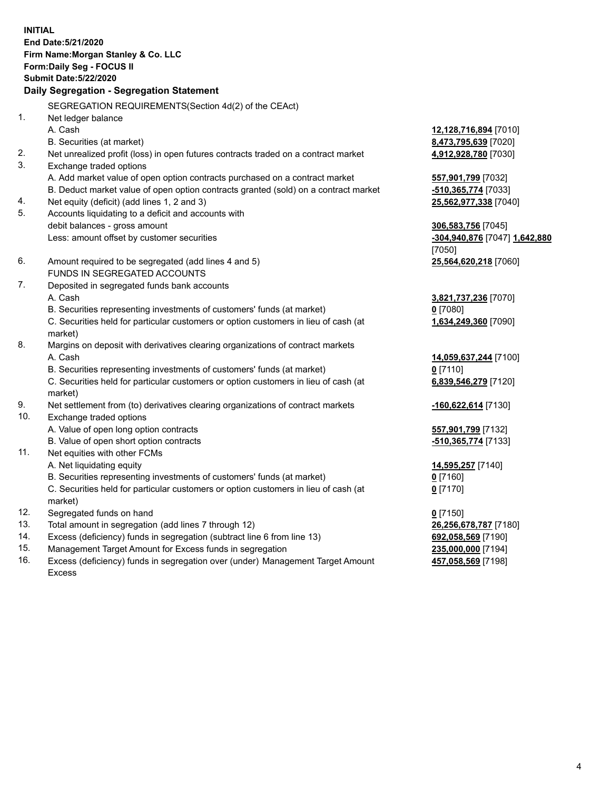**INITIAL End Date:5/21/2020 Firm Name:Morgan Stanley & Co. LLC Form:Daily Seg - FOCUS II Submit Date:5/22/2020 Daily Segregation - Segregation Statement** SEGREGATION REQUIREMENTS(Section 4d(2) of the CEAct) 1. Net ledger balance A. Cash **12,128,716,894** [7010] B. Securities (at market) **8,473,795,639** [7020] 2. Net unrealized profit (loss) in open futures contracts traded on a contract market **4,912,928,780** [7030] 3. Exchange traded options A. Add market value of open option contracts purchased on a contract market **557,901,799** [7032] B. Deduct market value of open option contracts granted (sold) on a contract market **-510,365,774** [7033] 4. Net equity (deficit) (add lines 1, 2 and 3) **25,562,977,338** [7040] 5. Accounts liquidating to a deficit and accounts with debit balances - gross amount **306,583,756** [7045] Less: amount offset by customer securities **-304,940,876** [7047] **1,642,880** [7050] 6. Amount required to be segregated (add lines 4 and 5) **25,564,620,218** [7060] FUNDS IN SEGREGATED ACCOUNTS 7. Deposited in segregated funds bank accounts A. Cash **3,821,737,236** [7070] B. Securities representing investments of customers' funds (at market) **0** [7080] C. Securities held for particular customers or option customers in lieu of cash (at market) **1,634,249,360** [7090] 8. Margins on deposit with derivatives clearing organizations of contract markets A. Cash **14,059,637,244** [7100] B. Securities representing investments of customers' funds (at market) **0** [7110] C. Securities held for particular customers or option customers in lieu of cash (at market) **6,839,546,279** [7120] 9. Net settlement from (to) derivatives clearing organizations of contract markets **-160,622,614** [7130] 10. Exchange traded options A. Value of open long option contracts **557,901,799** [7132] B. Value of open short option contracts **and the set of our of the set of our of the set of our of the set of the set of the set of the set of the set of the set of the set of the set of the set of the set of the set of th** 11. Net equities with other FCMs A. Net liquidating equity **14,595,257** [7140] B. Securities representing investments of customers' funds (at market) **0** [7160] C. Securities held for particular customers or option customers in lieu of cash (at market) **0** [7170] 12. Segregated funds on hand **0** [7150] 13. Total amount in segregation (add lines 7 through 12) **26,256,678,787** [7180] 14. Excess (deficiency) funds in segregation (subtract line 6 from line 13) **692,058,569** [7190] 15. Management Target Amount for Excess funds in segregation **235,000,000** [7194]

16. Excess (deficiency) funds in segregation over (under) Management Target Amount Excess

**457,058,569** [7198]